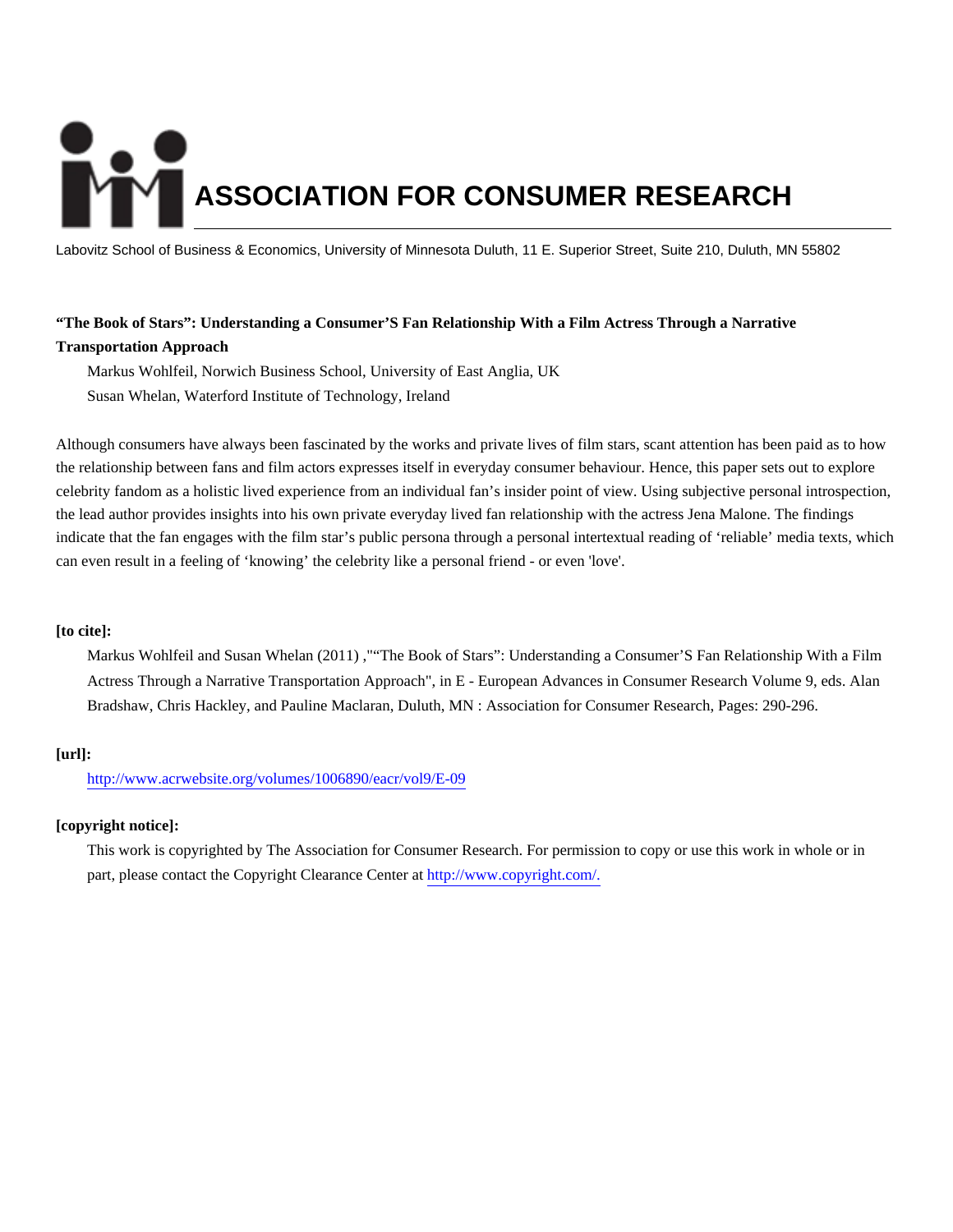# **ASSOCIATION FOR CONSUMER RESEARCH**

Labovitz School of Business & Economics, University of Minnesota Duluth, 11 E. Superior Street, Suite 210, Duluth, MN 55802

# **"The Book of Stars": Understanding a Consumer'S Fan Relationship With a Film Actress Through a Narrative Transportation Approach**

Markus Wohlfeil, Norwich Business School, University of East Anglia, UK Susan Whelan, Waterford Institute of Technology, Ireland

Although consumers have always been fascinated by the works and private lives of film stars, scant attention has been paid as to how the relationship between fans and film actors expresses itself in everyday consumer behaviour. Hence, this paper sets out to explore celebrity fandom as a holistic lived experience from an individual fan's insider point of view. Using subjective personal introspection, the lead author provides insights into his own private everyday lived fan relationship with the actress Jena Malone. The findings indicate that the fan engages with the film star's public persona through a personal intertextual reading of 'reliable' media texts, which can even result in a feeling of 'knowing' the celebrity like a personal friend - or even 'love'.

# **[to cite]:**

Markus Wohlfeil and Susan Whelan (2011) ,""The Book of Stars": Understanding a Consumer'S Fan Relationship With a Film Actress Through a Narrative Transportation Approach", in E - European Advances in Consumer Research Volume 9, eds. Alan Bradshaw, Chris Hackley, and Pauline Maclaran, Duluth, MN : Association for Consumer Research, Pages: 290-296.

# **[url]:**

<http://www.acrwebsite.org/volumes/1006890/eacr/vol9/E-09>

## **[copyright notice]:**

This work is copyrighted by The Association for Consumer Research. For permission to copy or use this work in whole or in part, please contact the Copyright Clearance Center at [http://www.copyright.com/.](http://www.copyright.com/)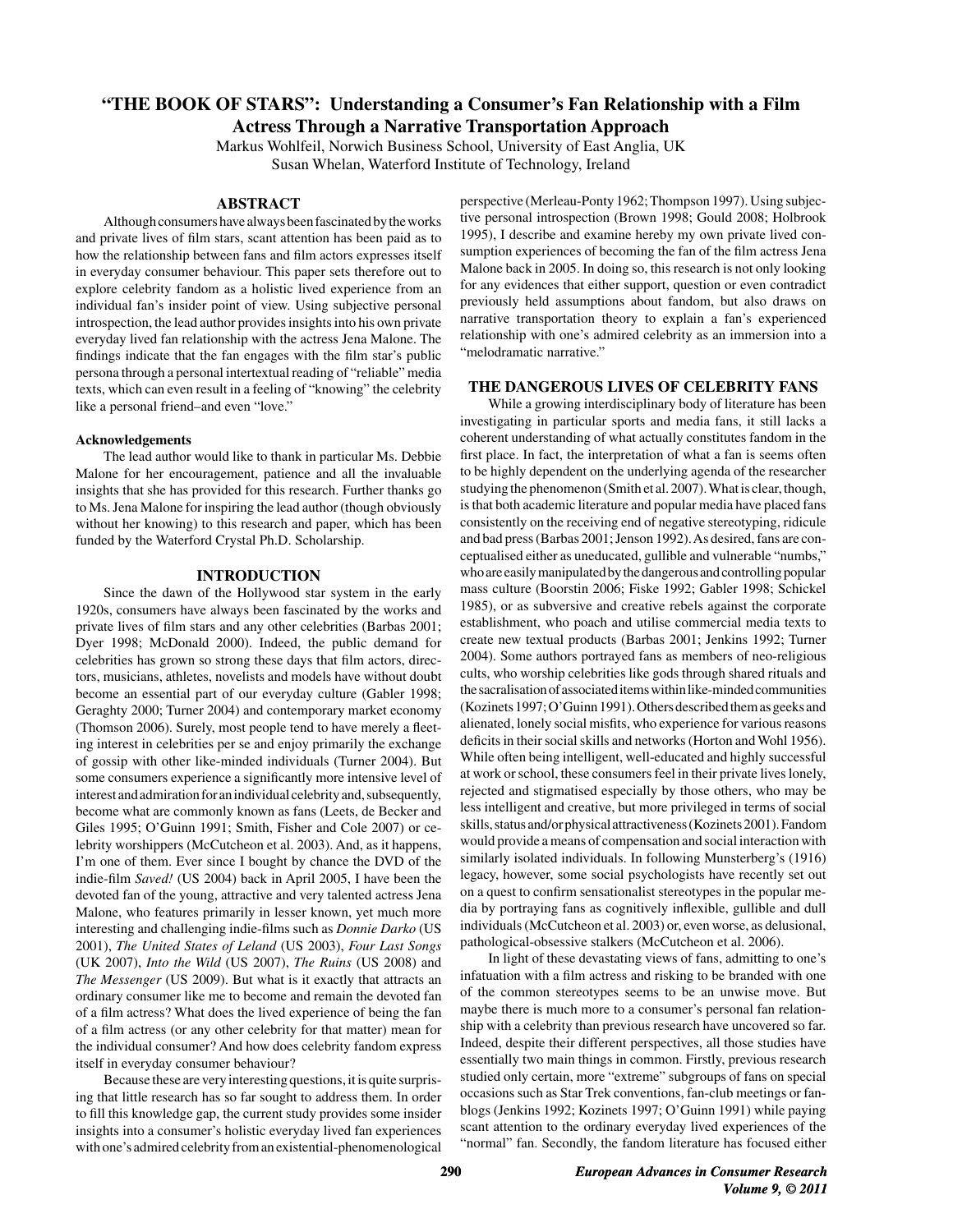# "THE BOOK OF STARS": Understanding a Consumer's Fan Relationship with a Film **Actress Through a Narrative Transportation Approach**

Markus Wohlfeil, Norwich Business School, University of East Anglia, UK Susan Whelan, Waterford Institute of Technology, Ireland

#### **ABSTRACT**

Although consumers have always been fascinated by the works and private lives of film stars, scant attention has been paid as to how the relationship between fans and film actors expresses itself in everyday consumer behaviour. This paper sets therefore out to explore celebrity fandom as a holistic lived experience from an individual fan's insider point of view. Using subjective personal introspection, the lead author provides insights into his own private everyday lived fan relationship with the actress Jena Malone. The findings indicate that the fan engages with the film star's public persona through a personal intertextual reading of "reliable" media texts, which can even result in a feeling of "knowing" the celebrity like a personal friend-and even "love."

#### **Acknowledgements**

The lead author would like to thank in particular Ms. Debbie Malone for her encouragement, patience and all the invaluable insights that she has provided for this research. Further thanks go to Ms. Jena Malone for inspiring the lead author (though obviously without her knowing) to this research and paper, which has been funded by the Waterford Crystal Ph.D. Scholarship.

#### **INTRODUCTION**

Since the dawn of the Hollywood star system in the early 1920s, consumers have always been fascinated by the works and private lives of film stars and any other celebrities (Barbas 2001; Dyer 1998; McDonald 2000). Indeed, the public demand for celebrities has grown so strong these days that film actors, directors, musicians, athletes, novelists and models have without doubt become an essential part of our everyday culture (Gabler 1998; Geraghty 2000; Turner 2004) and contemporary market economy (Thomson 2006). Surely, most people tend to have merely a fleeting interest in celebrities per se and enjoy primarily the exchange of gossip with other like-minded individuals (Turner 2004). But some consumers experience a significantly more intensive level of interest and admiration for an individual celebrity and, subsequently, become what are commonly known as fans (Leets, de Becker and Giles 1995; O'Guinn 1991; Smith, Fisher and Cole 2007) or celebrity worshippers (McCutcheon et al. 2003). And, as it happens, I'm one of them. Ever since I bought by chance the DVD of the indie-film Saved! (US 2004) back in April 2005, I have been the devoted fan of the young, attractive and very talented actress Jena Malone, who features primarily in lesser known, yet much more interesting and challenging indie-films such as Donnie Darko (US 2001), The United States of Leland (US 2003), Four Last Songs (UK 2007), Into the Wild (US 2007), The Ruins (US 2008) and The Messenger (US 2009). But what is it exactly that attracts an ordinary consumer like me to become and remain the devoted fan of a film actress? What does the lived experience of being the fan of a film actress (or any other celebrity for that matter) mean for the individual consumer? And how does celebrity fandom express itself in everyday consumer behaviour?

Because these are very interesting questions, it is quite surprising that little research has so far sought to address them. In order to fill this knowledge gap, the current study provides some insider insights into a consumer's holistic everyday lived fan experiences with one's admired celebrity from an existential-phenomenological perspective (Merleau-Ponty 1962; Thompson 1997). Using subjective personal introspection (Brown 1998; Gould 2008; Holbrook 1995), I describe and examine hereby my own private lived consumption experiences of becoming the fan of the film actress Jena Malone back in 2005. In doing so, this research is not only looking for any evidences that either support, question or even contradict previously held assumptions about fandom, but also draws on narrative transportation theory to explain a fan's experienced relationship with one's admired celebrity as an immersion into a "melodramatic narrative."

#### THE DANGEROUS LIVES OF CELEBRITY FANS

While a growing interdisciplinary body of literature has been investigating in particular sports and media fans, it still lacks a coherent understanding of what actually constitutes fandom in the first place. In fact, the interpretation of what a fan is seems often to be highly dependent on the underlying agenda of the researcher studying the phenomenon (Smith et al. 2007). What is clear, though, is that both academic literature and popular media have placed fans consistently on the receiving end of negative stereotyping, ridicule and bad press (Barbas 2001; Jenson 1992). As desired, fans are conceptualised either as uneducated, gullible and vulnerable "numbs," who are easily manipulated by the dangerous and controlling popular mass culture (Boorstin 2006; Fiske 1992; Gabler 1998; Schickel 1985), or as subversive and creative rebels against the corporate establishment, who poach and utilise commercial media texts to create new textual products (Barbas 2001; Jenkins 1992; Turner 2004). Some authors portrayed fans as members of neo-religious cults, who worship celebrities like gods through shared rituals and the sacralisation of associated items within like-minded communities (Kozinets 1997; O'Guinn 1991). Others described them as geeks and alienated, lonely social misfits, who experience for various reasons deficits in their social skills and networks (Horton and Wohl 1956). While often being intelligent, well-educated and highly successful at work or school, these consumers feel in their private lives lonely, rejected and stigmatised especially by those others, who may be less intelligent and creative, but more privileged in terms of social skills, status and/or physical attractiveness (Kozinets 2001). Fandom would provide a means of compensation and social interaction with similarly isolated individuals. In following Munsterberg's (1916) legacy, however, some social psychologists have recently set out on a quest to confirm sensationalist stereotypes in the popular media by portraying fans as cognitively inflexible, gullible and dull individuals (McCutcheon et al. 2003) or, even worse, as delusional, pathological-obsessive stalkers (McCutcheon et al. 2006).

In light of these devastating views of fans, admitting to one's infatuation with a film actress and risking to be branded with one of the common stereotypes seems to be an unwise move. But maybe there is much more to a consumer's personal fan relationship with a celebrity than previous research have uncovered so far. Indeed, despite their different perspectives, all those studies have essentially two main things in common. Firstly, previous research studied only certain, more "extreme" subgroups of fans on special occasions such as Star Trek conventions, fan-club meetings or fanblogs (Jenkins 1992; Kozinets 1997; O'Guinn 1991) while paying scant attention to the ordinary everyday lived experiences of the "normal" fan. Secondly, the fandom literature has focused either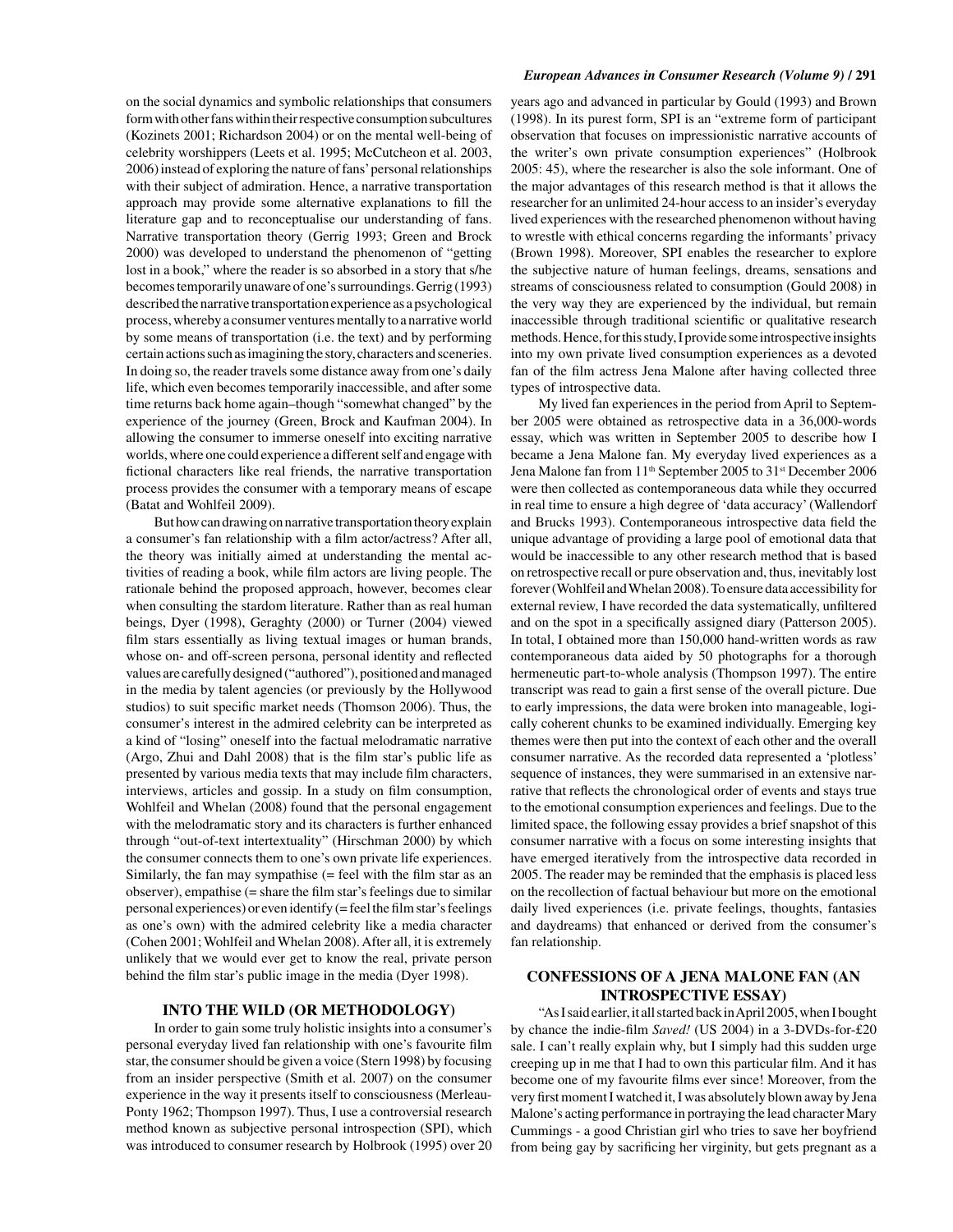on the social dynamics and symbolic relationships that consumers form with other fans within their respective consumption subcultures (Kozinets 2001; Richardson 2004) or on the mental well-being of celebrity worshippers (Leets et al. 1995; McCutcheon et al. 2003, 2006) instead of exploring the nature of fans' personal relationships with their subject of admiration. Hence, a narrative transportation approach may provide some alternative explanations to fill the literature gap and to reconceptualise our understanding of fans. Narrative transportation theory (Gerrig 1993; Green and Brock 2000) was developed to understand the phenomenon of "getting lost in a book," where the reader is so absorbed in a story that s/he becomes temporarily unaware of one's surroundings. Gerrig (1993) described the narrative transportation experience as a psychological process, whereby a consumer ventures mentally to a narrative world by some means of transportation (i.e. the text) and by performing certain actions such as imagining the story, characters and sceneries. In doing so, the reader travels some distance away from one's daily life, which even becomes temporarily inaccessible, and after some time returns back home again-though "somewhat changed" by the experience of the journey (Green, Brock and Kaufman 2004). In allowing the consumer to immerse oneself into exciting narrative worlds, where one could experience a different self and engage with fictional characters like real friends, the narrative transportation process provides the consumer with a temporary means of escape (Batat and Wohlfeil 2009).

But how can drawing on narrative transportation theory explain a consumer's fan relationship with a film actor/actress? After all, the theory was initially aimed at understanding the mental activities of reading a book, while film actors are living people. The rationale behind the proposed approach, however, becomes clear when consulting the stardom literature. Rather than as real human beings, Dyer (1998), Geraghty (2000) or Turner (2004) viewed film stars essentially as living textual images or human brands, whose on- and off-screen persona, personal identity and reflected values are carefully designed ("authored"), positioned and managed in the media by talent agencies (or previously by the Hollywood studios) to suit specific market needs (Thomson 2006). Thus, the consumer's interest in the admired celebrity can be interpreted as a kind of "losing" oneself into the factual melodramatic narrative (Argo, Zhui and Dahl 2008) that is the film star's public life as presented by various media texts that may include film characters, interviews, articles and gossip. In a study on film consumption, Wohlfeil and Whelan (2008) found that the personal engagement with the melodramatic story and its characters is further enhanced through "out-of-text intertextuality" (Hirschman 2000) by which the consumer connects them to one's own private life experiences. Similarly, the fan may sympathise  $(=$  feel with the film star as an observer), empathise (= share the film star's feelings due to similar personal experiences) or even identify (= feel the film star's feelings as one's own) with the admired celebrity like a media character (Cohen 2001; Wohlfeil and Whelan 2008). After all, it is extremely unlikely that we would ever get to know the real, private person behind the film star's public image in the media (Dyer 1998).

#### **INTO THE WILD (OR METHODOLOGY)**

In order to gain some truly holistic insights into a consumer's personal everyday lived fan relationship with one's favourite film star, the consumer should be given a voice (Stern 1998) by focusing from an insider perspective (Smith et al. 2007) on the consumer experience in the way it presents itself to consciousness (Merleau-Ponty 1962; Thompson 1997). Thus, I use a controversial research method known as subjective personal introspection (SPI), which was introduced to consumer research by Holbrook (1995) over 20

#### European Advances in Consumer Research (Volume 9) / 291

years ago and advanced in particular by Gould (1993) and Brown (1998). In its purest form, SPI is an "extreme form of participant observation that focuses on impressionistic narrative accounts of the writer's own private consumption experiences" (Holbrook 2005: 45), where the researcher is also the sole informant. One of the major advantages of this research method is that it allows the researcher for an unlimited 24-hour access to an insider's everyday lived experiences with the researched phenomenon without having to wrestle with ethical concerns regarding the informants' privacy (Brown 1998). Moreover, SPI enables the researcher to explore the subjective nature of human feelings, dreams, sensations and streams of consciousness related to consumption (Gould 2008) in the very way they are experienced by the individual, but remain inaccessible through traditional scientific or qualitative research methods. Hence, for this study, I provide some introspective insights into my own private lived consumption experiences as a devoted fan of the film actress Jena Malone after having collected three types of introspective data.

My lived fan experiences in the period from April to September 2005 were obtained as retrospective data in a 36,000-words essay, which was written in September 2005 to describe how I became a Jena Malone fan. My everyday lived experiences as a Jena Malone fan from 11<sup>th</sup> September 2005 to 31<sup>st</sup> December 2006 were then collected as contemporaneous data while they occurred in real time to ensure a high degree of 'data accuracy' (Wallendorf and Brucks 1993). Contemporaneous introspective data field the unique advantage of providing a large pool of emotional data that would be inaccessible to any other research method that is based on retrospective recall or pure observation and, thus, inevitably lost forever (Wohlfeil and Whelan 2008). To ensure data accessibility for external review, I have recorded the data systematically, unfiltered and on the spot in a specifically assigned diary (Patterson 2005). In total, I obtained more than 150,000 hand-written words as raw contemporaneous data aided by 50 photographs for a thorough hermeneutic part-to-whole analysis (Thompson 1997). The entire transcript was read to gain a first sense of the overall picture. Due to early impressions, the data were broken into manageable, logically coherent chunks to be examined individually. Emerging key themes were then put into the context of each other and the overall consumer narrative. As the recorded data represented a 'plotless' sequence of instances, they were summarised in an extensive narrative that reflects the chronological order of events and stays true to the emotional consumption experiences and feelings. Due to the limited space, the following essay provides a brief snapshot of this consumer narrative with a focus on some interesting insights that have emerged iteratively from the introspective data recorded in 2005. The reader may be reminded that the emphasis is placed less on the recollection of factual behaviour but more on the emotional daily lived experiences (i.e. private feelings, thoughts, fantasies and daydreams) that enhanced or derived from the consumer's fan relationship.

## **CONFESSIONS OF A JENA MALONE FAN (AN INTROSPECTIVE ESSAY)**

"As I said earlier, it all started back in April 2005, when I bought by chance the indie-film Saved! (US 2004) in a 3-DVDs-for-£20 sale. I can't really explain why, but I simply had this sudden urge creeping up in me that I had to own this particular film. And it has become one of my favourite films ever since! Moreover, from the very first moment I watched it, I was absolutely blown away by Jena Malone's acting performance in portraying the lead character Mary Cummings - a good Christian girl who tries to save her boyfriend from being gay by sacrificing her virginity, but gets pregnant as a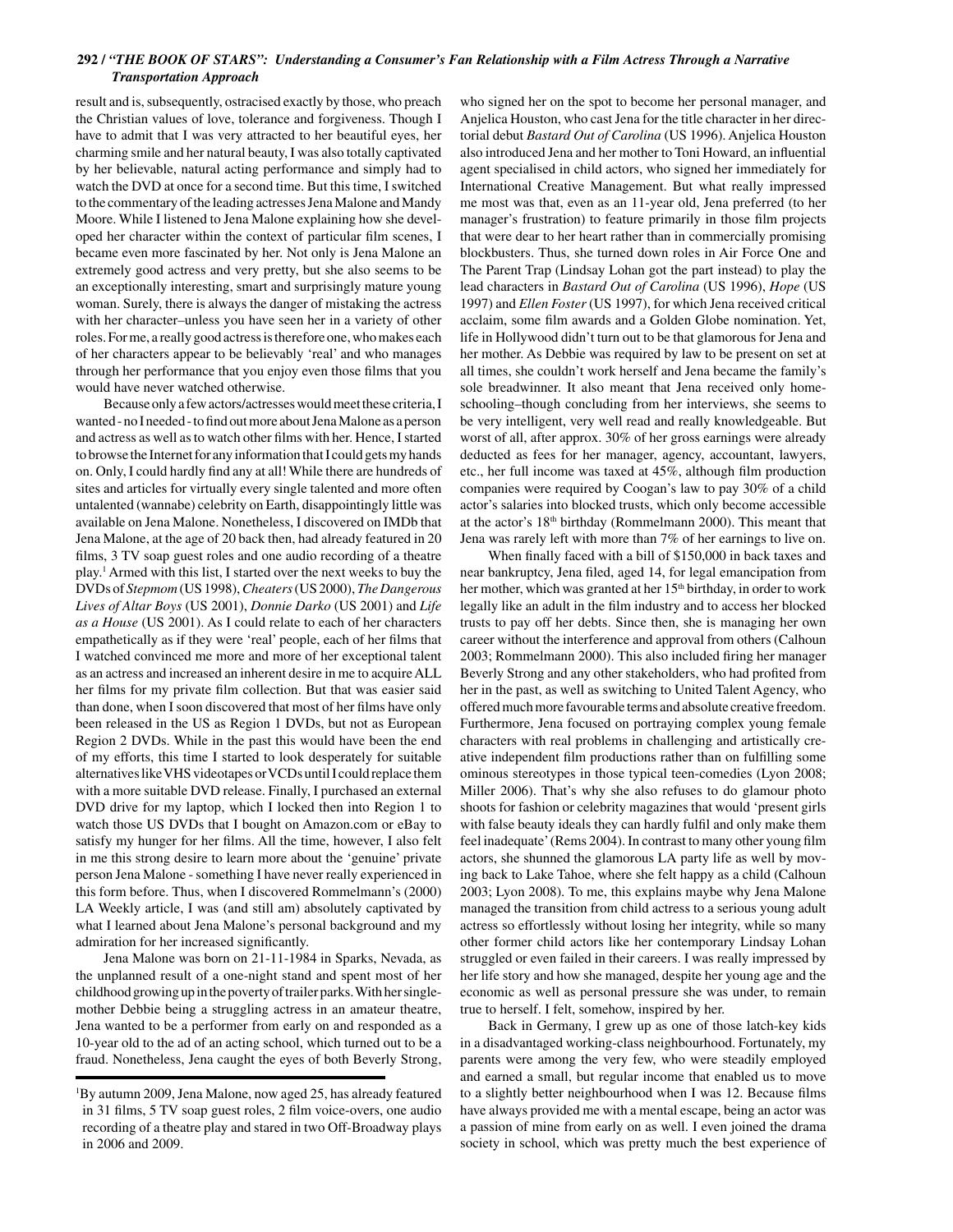## 292 / "THE BOOK OF STARS": Understanding a Consumer's Fan Relationship with a Film Actress Through a Narrative **Transportation Approach**

result and is, subsequently, ostracised exactly by those, who preach the Christian values of love, tolerance and forgiveness. Though I have to admit that I was very attracted to her beautiful eyes, her charming smile and her natural beauty, I was also totally captivated by her believable, natural acting performance and simply had to watch the DVD at once for a second time. But this time, I switched to the commentary of the leading actresses Jena Malone and Mandy Moore. While I listened to Jena Malone explaining how she developed her character within the context of particular film scenes, I became even more fascinated by her. Not only is Jena Malone an extremely good actress and very pretty, but she also seems to be an exceptionally interesting, smart and surprisingly mature young woman. Surely, there is always the danger of mistaking the actress with her character-unless you have seen her in a variety of other roles. For me, a really good actress is therefore one, who makes each of her characters appear to be believably 'real' and who manages through her performance that you enjoy even those films that you would have never watched otherwise.

Because only a few actors/actresses would meet these criteria, I wanted - no I needed - to find out more about Jena Malone as a person and actress as well as to watch other films with her. Hence, I started to browse the Internet for any information that I could gets my hands on. Only, I could hardly find any at all! While there are hundreds of sites and articles for virtually every single talented and more often untalented (wannabe) celebrity on Earth, disappointingly little was available on Jena Malone. Nonetheless, I discovered on IMDb that Jena Malone, at the age of 20 back then, had already featured in 20 films, 3 TV soap guest roles and one audio recording of a theatre play.<sup>1</sup> Armed with this list, I started over the next weeks to buy the DVDs of Stepmom (US 1998), Cheaters (US 2000), The Dangerous Lives of Altar Boys (US 2001), Donnie Darko (US 2001) and Life as a House (US 2001). As I could relate to each of her characters empathetically as if they were 'real' people, each of her films that I watched convinced me more and more of her exceptional talent as an actress and increased an inherent desire in me to acquire ALL her films for my private film collection. But that was easier said than done, when I soon discovered that most of her films have only been released in the US as Region 1 DVDs, but not as European Region 2 DVDs. While in the past this would have been the end of my efforts, this time I started to look desperately for suitable alternatives like VHS videotapes or VCDs until I could replace them with a more suitable DVD release. Finally, I purchased an external DVD drive for my laptop, which I locked then into Region 1 to watch those US DVDs that I bought on Amazon.com or eBay to satisfy my hunger for her films. All the time, however, I also felt in me this strong desire to learn more about the 'genuine' private person Jena Malone - something I have never really experienced in this form before. Thus, when I discovered Rommelmann's (2000) LA Weekly article, I was (and still am) absolutely captivated by what I learned about Jena Malone's personal background and my admiration for her increased significantly.

Jena Malone was born on 21-11-1984 in Sparks, Nevada, as the unplanned result of a one-night stand and spent most of her childhood growing up in the poverty of trailer parks. With her singlemother Debbie being a struggling actress in an amateur theatre, Jena wanted to be a performer from early on and responded as a 10-year old to the ad of an acting school, which turned out to be a fraud. Nonetheless, Jena caught the eyes of both Beverly Strong,

who signed her on the spot to become her personal manager, and Anjelica Houston, who cast Jena for the title character in her directorial debut Bastard Out of Carolina (US 1996). Anjelica Houston also introduced Jena and her mother to Toni Howard, an influential agent specialised in child actors, who signed her immediately for International Creative Management. But what really impressed me most was that, even as an 11-year old, Jena preferred (to her manager's frustration) to feature primarily in those film projects that were dear to her heart rather than in commercially promising blockbusters. Thus, she turned down roles in Air Force One and The Parent Trap (Lindsay Lohan got the part instead) to play the lead characters in Bastard Out of Carolina (US 1996), Hope (US 1997) and Ellen Foster (US 1997), for which Jena received critical acclaim, some film awards and a Golden Globe nomination. Yet, life in Hollywood didn't turn out to be that glamorous for Jena and her mother. As Debbie was required by law to be present on set at all times, she couldn't work herself and Jena became the family's sole breadwinner. It also meant that Jena received only homeschooling–though concluding from her interviews, she seems to be very intelligent, very well read and really knowledgeable. But worst of all, after approx. 30% of her gross earnings were already deducted as fees for her manager, agency, accountant, lawyers, etc., her full income was taxed at 45%, although film production companies were required by Coogan's law to pay 30% of a child actor's salaries into blocked trusts, which only become accessible at the actor's  $18<sup>th</sup>$  birthday (Rommelmann 2000). This meant that Jena was rarely left with more than 7% of her earnings to live on.

When finally faced with a bill of \$150,000 in back taxes and near bankruptcy, Jena filed, aged 14, for legal emancipation from her mother, which was granted at her 15<sup>th</sup> birthday, in order to work legally like an adult in the film industry and to access her blocked trusts to pay off her debts. Since then, she is managing her own career without the interference and approval from others (Calhoun 2003; Rommelmann 2000). This also included firing her manager Beverly Strong and any other stakeholders, who had profited from her in the past, as well as switching to United Talent Agency, who offered much more favourable terms and absolute creative freedom. Furthermore, Jena focused on portraying complex young female characters with real problems in challenging and artistically creative independent film productions rather than on fulfilling some ominous stereotypes in those typical teen-comedies (Lyon 2008; Miller 2006). That's why she also refuses to do glamour photo shoots for fashion or celebrity magazines that would 'present girls with false beauty ideals they can hardly fulfil and only make them feel inadequate' (Rems 2004). In contrast to many other young film actors, she shunned the glamorous LA party life as well by moving back to Lake Tahoe, where she felt happy as a child (Calhoun 2003; Lyon 2008). To me, this explains maybe why Jena Malone managed the transition from child actress to a serious young adult actress so effortlessly without losing her integrity, while so many other former child actors like her contemporary Lindsay Lohan struggled or even failed in their careers. I was really impressed by her life story and how she managed, despite her young age and the economic as well as personal pressure she was under, to remain true to herself. I felt, somehow, inspired by her.

Back in Germany, I grew up as one of those latch-key kids in a disadvantaged working-class neighbourhood. Fortunately, my parents were among the very few, who were steadily employed and earned a small, but regular income that enabled us to move to a slightly better neighbourhood when I was 12. Because films have always provided me with a mental escape, being an actor was a passion of mine from early on as well. I even joined the drama society in school, which was pretty much the best experience of

<sup>&</sup>lt;sup>1</sup>By autumn 2009, Jena Malone, now aged 25, has already featured in 31 films, 5 TV soap guest roles, 2 film voice-overs, one audio recording of a theatre play and stared in two Off-Broadway plays in 2006 and 2009.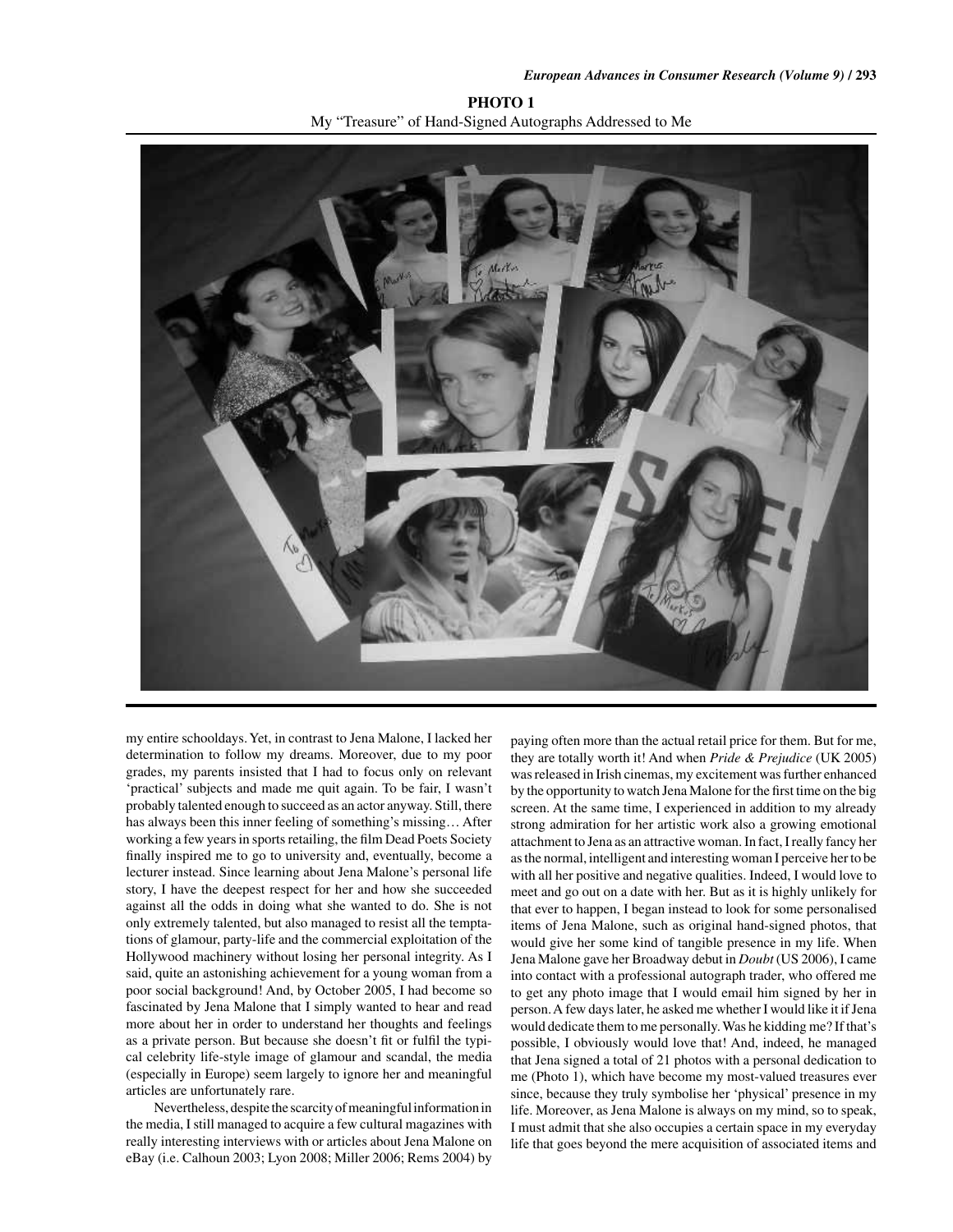



my entire schooldays. Yet, in contrast to Jena Malone, I lacked her determination to follow my dreams. Moreover, due to my poor grades, my parents insisted that I had to focus only on relevant 'practical' subjects and made me quit again. To be fair, I wasn't probably talented enough to succeed as an actor anyway. Still, there has always been this inner feeling of something's missing... After working a few years in sports retailing, the film Dead Poets Society finally inspired me to go to university and, eventually, become a lecturer instead. Since learning about Jena Malone's personal life story, I have the deepest respect for her and how she succeeded against all the odds in doing what she wanted to do. She is not only extremely talented, but also managed to resist all the temptations of glamour, party-life and the commercial exploitation of the Hollywood machinery without losing her personal integrity. As I said, quite an astonishing achievement for a young woman from a poor social background! And, by October 2005, I had become so fascinated by Jena Malone that I simply wanted to hear and read more about her in order to understand her thoughts and feelings as a private person. But because she doesn't fit or fulfil the typical celebrity life-style image of glamour and scandal, the media (especially in Europe) seem largely to ignore her and meaningful articles are unfortunately rare.

Nevertheless, despite the scarcity of meaningful information in the media, I still managed to acquire a few cultural magazines with really interesting interviews with or articles about Jena Malone on eBay (i.e. Calhoun 2003; Lyon 2008; Miller 2006; Rems 2004) by paying often more than the actual retail price for them. But for me, they are totally worth it! And when Pride & Prejudice (UK 2005) was released in Irish cinemas, my excitement was further enhanced by the opportunity to watch Jena Malone for the first time on the big screen. At the same time, I experienced in addition to my already strong admiration for her artistic work also a growing emotional attachment to Jena as an attractive woman. In fact, I really fancy her as the normal, intelligent and interesting woman I perceive her to be with all her positive and negative qualities. Indeed, I would love to meet and go out on a date with her. But as it is highly unlikely for that ever to happen, I began instead to look for some personalised items of Jena Malone, such as original hand-signed photos, that would give her some kind of tangible presence in my life. When Jena Malone gave her Broadway debut in Doubt (US 2006), I came into contact with a professional autograph trader, who offered me to get any photo image that I would email him signed by her in person. A few days later, he asked me whether I would like it if Jena would dedicate them to me personally. Was he kidding me? If that's possible, I obviously would love that! And, indeed, he managed that Jena signed a total of 21 photos with a personal dedication to me (Photo 1), which have become my most-valued treasures ever since, because they truly symbolise her 'physical' presence in my life. Moreover, as Jena Malone is always on my mind, so to speak, I must admit that she also occupies a certain space in my everyday life that goes beyond the mere acquisition of associated items and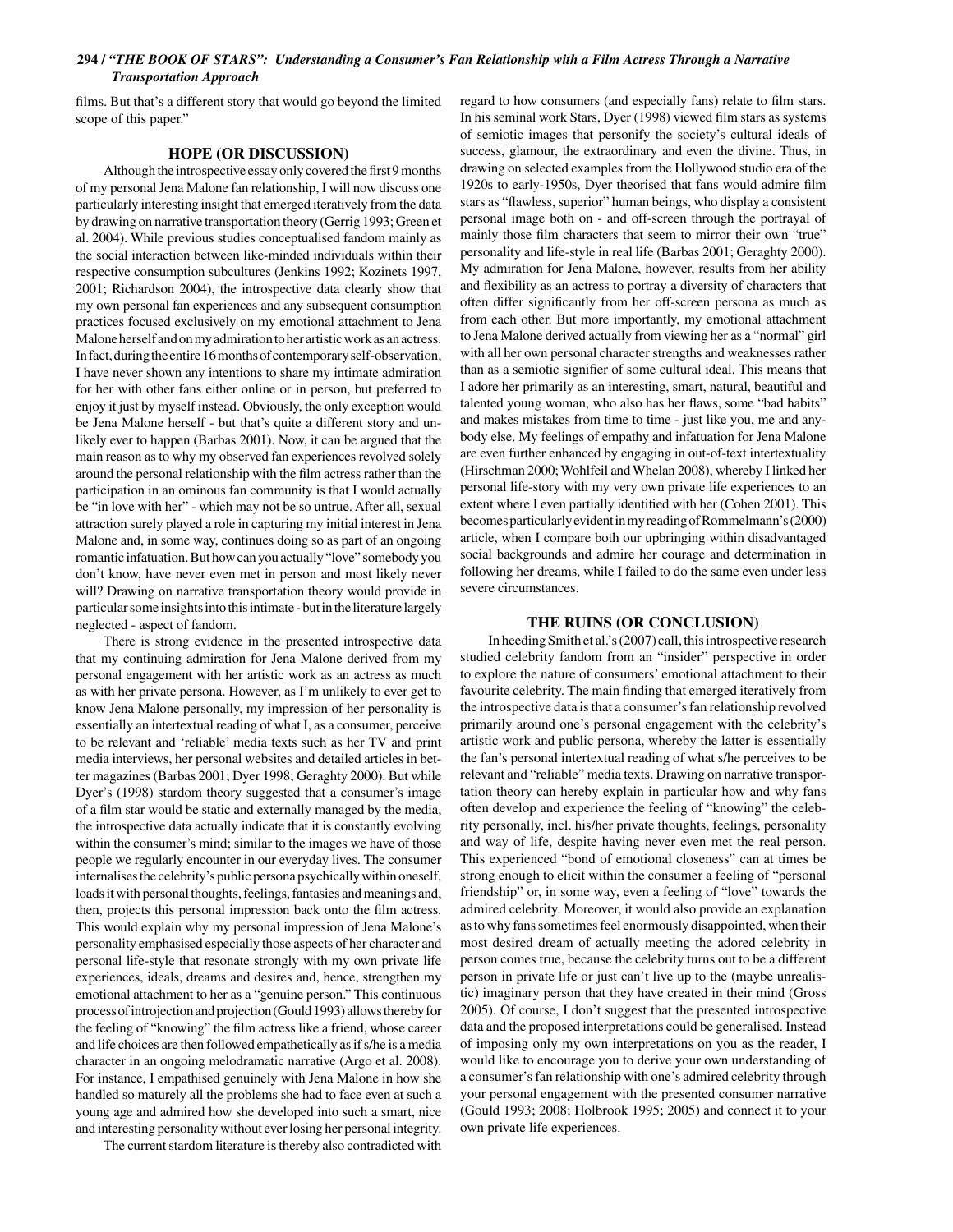## 294 / "THE BOOK OF STARS": Understanding a Consumer's Fan Relationship with a Film Actress Through a Narrative **Transportation Approach**

films. But that's a different story that would go beyond the limited scope of this paper."

#### **HOPE (OR DISCUSSION)**

Although the introspective essay only covered the first 9 months of my personal Jena Malone fan relationship, I will now discuss one particularly interesting insight that emerged iteratively from the data by drawing on narrative transportation theory (Gerrig 1993; Green et al. 2004). While previous studies conceptualised fandom mainly as the social interaction between like-minded individuals within their respective consumption subcultures (Jenkins 1992; Kozinets 1997, 2001; Richardson 2004), the introspective data clearly show that my own personal fan experiences and any subsequent consumption practices focused exclusively on my emotional attachment to Jena Malone herself and on my admiration to her artistic work as an actress. In fact, during the entire 16 months of contemporary self-observation, I have never shown any intentions to share my intimate admiration for her with other fans either online or in person, but preferred to enjoy it just by myself instead. Obviously, the only exception would be Jena Malone herself - but that's quite a different story and unlikely ever to happen (Barbas 2001). Now, it can be argued that the main reason as to why my observed fan experiences revolved solely around the personal relationship with the film actress rather than the participation in an ominous fan community is that I would actually be "in love with her" - which may not be so untrue. After all, sexual attraction surely played a role in capturing my initial interest in Jena Malone and, in some way, continues doing so as part of an ongoing romantic infatuation. But how can you actually "love" somebody you don't know, have never even met in person and most likely never will? Drawing on narrative transportation theory would provide in particular some insights into this intimate - but in the literature largely neglected - aspect of fandom.

There is strong evidence in the presented introspective data that my continuing admiration for Jena Malone derived from my personal engagement with her artistic work as an actress as much as with her private persona. However, as I'm unlikely to ever get to know Jena Malone personally, my impression of her personality is essentially an intertextual reading of what I, as a consumer, perceive to be relevant and 'reliable' media texts such as her TV and print media interviews, her personal websites and detailed articles in better magazines (Barbas 2001; Dyer 1998; Geraghty 2000). But while Dyer's (1998) stardom theory suggested that a consumer's image of a film star would be static and externally managed by the media, the introspective data actually indicate that it is constantly evolving within the consumer's mind; similar to the images we have of those people we regularly encounter in our everyday lives. The consumer internalises the celebrity's public persona psychically within oneself, loads it with personal thoughts, feelings, fantasies and meanings and, then, projects this personal impression back onto the film actress. This would explain why my personal impression of Jena Malone's personality emphasised especially those aspects of her character and personal life-style that resonate strongly with my own private life experiences, ideals, dreams and desires and, hence, strengthen my emotional attachment to her as a "genuine person." This continuous process of introjection and projection (Gould 1993) allows thereby for the feeling of "knowing" the film actress like a friend, whose career and life choices are then followed empathetically as if s/he is a media character in an ongoing melodramatic narrative (Argo et al. 2008). For instance, I empathised genuinely with Jena Malone in how she handled so maturely all the problems she had to face even at such a young age and admired how she developed into such a smart, nice and interesting personality without ever losing her personal integrity.

The current stardom literature is thereby also contradicted with

regard to how consumers (and especially fans) relate to film stars. In his seminal work Stars, Dyer (1998) viewed film stars as systems of semiotic images that personify the society's cultural ideals of success, glamour, the extraordinary and even the divine. Thus, in drawing on selected examples from the Hollywood studio era of the 1920s to early-1950s, Dyer theorised that fans would admire film stars as "flawless, superior" human beings, who display a consistent personal image both on - and off-screen through the portrayal of mainly those film characters that seem to mirror their own "true" personality and life-style in real life (Barbas 2001; Geraghty 2000). My admiration for Jena Malone, however, results from her ability and flexibility as an actress to portray a diversity of characters that often differ significantly from her off-screen persona as much as from each other. But more importantly, my emotional attachment to Jena Malone derived actually from viewing her as a "normal" girl with all her own personal character strengths and weaknesses rather than as a semiotic signifier of some cultural ideal. This means that I adore her primarily as an interesting, smart, natural, beautiful and talented young woman, who also has her flaws, some "bad habits" and makes mistakes from time to time - just like you, me and anybody else. My feelings of empathy and infatuation for Jena Malone are even further enhanced by engaging in out-of-text intertextuality (Hirschman 2000; Wohlfeil and Whelan 2008), whereby I linked her personal life-story with my very own private life experiences to an extent where I even partially identified with her (Cohen 2001). This becomes particularly evident in my reading of Rommelmann's (2000) article, when I compare both our upbringing within disadvantaged social backgrounds and admire her courage and determination in following her dreams, while I failed to do the same even under less severe circumstances.

#### THE RUINS (OR CONCLUSION)

In heeding Smith et al.'s (2007) call, this introspective research studied celebrity fandom from an "insider" perspective in order to explore the nature of consumers' emotional attachment to their favourite celebrity. The main finding that emerged iteratively from the introspective data is that a consumer's fan relationship revolved primarily around one's personal engagement with the celebrity's artistic work and public persona, whereby the latter is essentially the fan's personal intertextual reading of what s/he perceives to be relevant and "reliable" media texts. Drawing on narrative transportation theory can hereby explain in particular how and why fans often develop and experience the feeling of "knowing" the celebrity personally, incl. his/her private thoughts, feelings, personality and way of life, despite having never even met the real person. This experienced "bond of emotional closeness" can at times be strong enough to elicit within the consumer a feeling of "personal friendship" or, in some way, even a feeling of "love" towards the admired celebrity. Moreover, it would also provide an explanation as to why fans sometimes feel enormously disappointed, when their most desired dream of actually meeting the adored celebrity in person comes true, because the celebrity turns out to be a different person in private life or just can't live up to the (maybe unrealistic) imaginary person that they have created in their mind (Gross 2005). Of course, I don't suggest that the presented introspective data and the proposed interpretations could be generalised. Instead of imposing only my own interpretations on you as the reader, I would like to encourage you to derive your own understanding of a consumer's fan relationship with one's admired celebrity through your personal engagement with the presented consumer narrative (Gould 1993; 2008; Holbrook 1995; 2005) and connect it to your own private life experiences.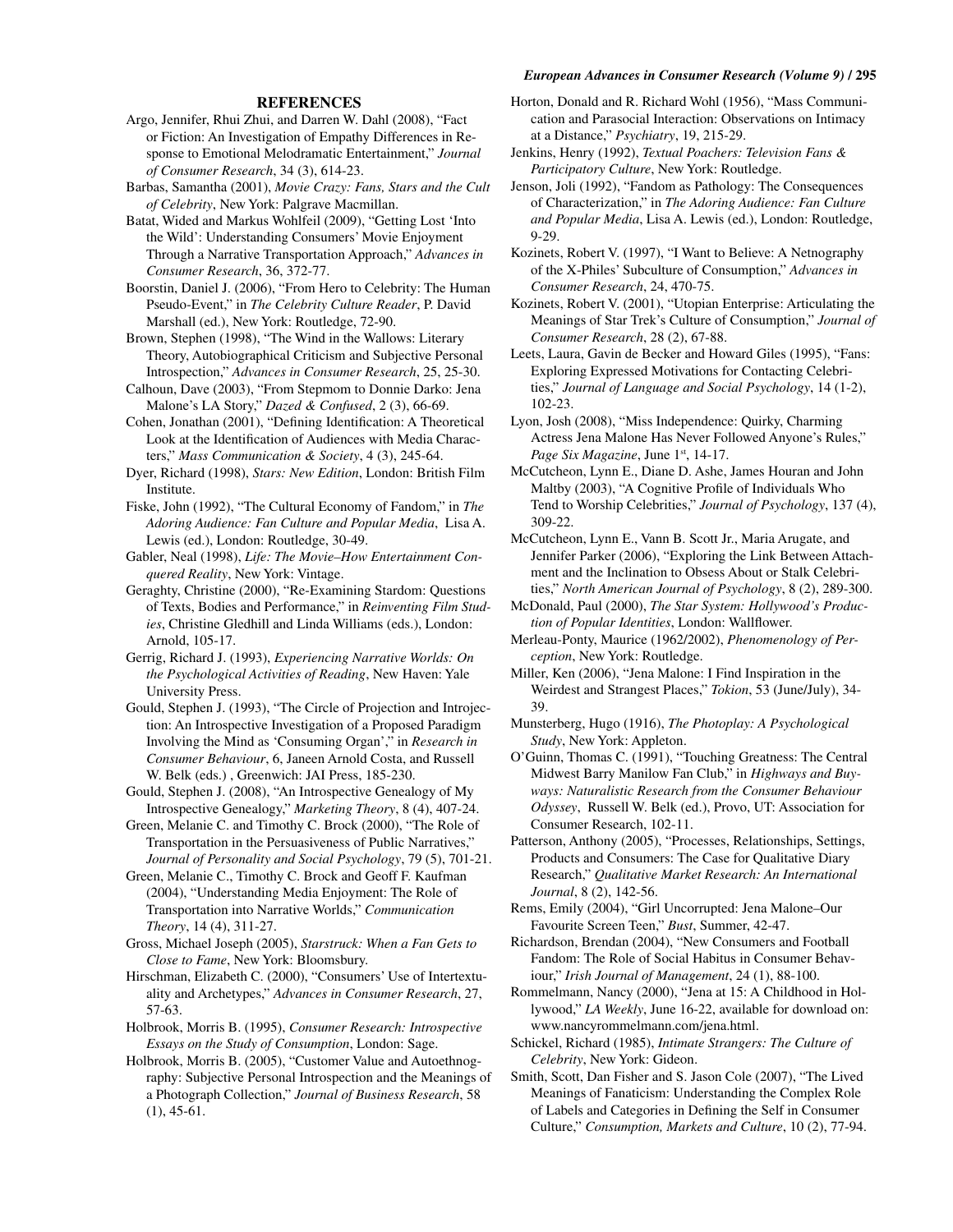#### European Advances in Consumer Research (Volume 9) / 295

#### **REFERENCES**

- Argo, Jennifer, Rhui Zhui, and Darren W. Dahl (2008), "Fact or Fiction: An Investigation of Empathy Differences in Response to Emotional Melodramatic Entertainment," Journal of Consumer Research, 34 (3), 614-23.
- Barbas, Samantha (2001), Movie Crazy: Fans, Stars and the Cult of Celebrity, New York: Palgrave Macmillan.
- Batat, Wided and Markus Wohlfeil (2009), "Getting Lost 'Into the Wild': Understanding Consumers' Movie Enjoyment Through a Narrative Transportation Approach," Advances in Consumer Research, 36, 372-77.
- Boorstin, Daniel J. (2006), "From Hero to Celebrity: The Human Pseudo-Event," in The Celebrity Culture Reader, P. David Marshall (ed.), New York: Routledge, 72-90.
- Brown, Stephen (1998), "The Wind in the Wallows: Literary Theory, Autobiographical Criticism and Subjective Personal Introspection," Advances in Consumer Research, 25, 25-30.

Calhoun, Dave (2003), "From Stepmom to Donnie Darko: Jena Malone's LA Story," Dazed & Confused, 2 (3), 66-69.

Cohen, Jonathan (2001), "Defining Identification: A Theoretical Look at the Identification of Audiences with Media Characters," Mass Communication & Society, 4 (3), 245-64.

Dyer, Richard (1998), Stars: New Edition, London: British Film Institute.

Fiske, John (1992), "The Cultural Economy of Fandom," in The Adoring Audience: Fan Culture and Popular Media, Lisa A. Lewis (ed.), London: Routledge, 30-49.

Gabler, Neal (1998), Life: The Movie-How Entertainment Conquered Reality, New York: Vintage.

- Geraghty, Christine (2000), "Re-Examining Stardom: Questions of Texts, Bodies and Performance," in Reinventing Film Studies, Christine Gledhill and Linda Williams (eds.), London: Arnold, 105-17.
- Gerrig, Richard J. (1993), Experiencing Narrative Worlds: On the Psychological Activities of Reading, New Haven: Yale University Press.
- Gould, Stephen J. (1993), "The Circle of Projection and Introjection: An Introspective Investigation of a Proposed Paradigm Involving the Mind as 'Consuming Organ'," in Research in Consumer Behaviour, 6, Janeen Arnold Costa, and Russell W. Belk (eds.), Greenwich: JAI Press, 185-230.
- Gould, Stephen J. (2008), "An Introspective Genealogy of My Introspective Genealogy," Marketing Theory, 8 (4), 407-24.
- Green, Melanie C. and Timothy C. Brock (2000), "The Role of Transportation in the Persuasiveness of Public Narratives," Journal of Personality and Social Psychology, 79 (5), 701-21.
- Green, Melanie C., Timothy C. Brock and Geoff F. Kaufman (2004), "Understanding Media Enjoyment: The Role of Transportation into Narrative Worlds," Communication *Theory*, 14 (4), 311-27.
- Gross, Michael Joseph (2005), Starstruck: When a Fan Gets to Close to Fame, New York: Bloomsbury.
- Hirschman, Elizabeth C. (2000), "Consumers' Use of Intertextuality and Archetypes," Advances in Consumer Research, 27, 57-63.
- Holbrook, Morris B. (1995), Consumer Research: Introspective Essays on the Study of Consumption, London: Sage.
- Holbrook, Morris B. (2005), "Customer Value and Autoethnography: Subjective Personal Introspection and the Meanings of a Photograph Collection," Journal of Business Research, 58  $(1), 45-61.$

Horton, Donald and R. Richard Wohl (1956), "Mass Communication and Parasocial Interaction: Observations on Intimacy at a Distance," Psychiatry, 19, 215-29.

Jenkins, Henry (1992), Textual Poachers: Television Fans & Participatory Culture, New York: Routledge.

Jenson, Joli (1992), "Fandom as Pathology: The Consequences of Characterization," in The Adoring Audience: Fan Culture and Popular Media, Lisa A. Lewis (ed.), London: Routledge,  $9-29.$ 

Kozinets, Robert V. (1997), "I Want to Believe: A Netnography of the X-Philes' Subculture of Consumption," Advances in Consumer Research, 24, 470-75.

Kozinets, Robert V. (2001), "Utopian Enterprise: Articulating the Meanings of Star Trek's Culture of Consumption," Journal of Consumer Research, 28 (2), 67-88.

Leets, Laura, Gavin de Becker and Howard Giles (1995), "Fans: Exploring Expressed Motivations for Contacting Celebrities," Journal of Language and Social Psychology, 14 (1-2), 102-23.

- Lyon, Josh (2008), "Miss Independence: Quirky, Charming Actress Jena Malone Has Never Followed Anyone's Rules," Page Six Magazine, June 1st, 14-17.
- McCutcheon, Lynn E., Diane D. Ashe, James Houran and John Maltby (2003), "A Cognitive Profile of Individuals Who Tend to Worship Celebrities," Journal of Psychology, 137 (4), 309-22.

McCutcheon, Lynn E., Vann B. Scott Jr., Maria Arugate, and Jennifer Parker (2006), "Exploring the Link Between Attachment and the Inclination to Obsess About or Stalk Celebrities," North American Journal of Psychology, 8 (2), 289-300.

- McDonald, Paul (2000), The Star System: Hollywood's Production of Popular Identities, London: Wallflower.
- Merleau-Ponty, Maurice (1962/2002), Phenomenology of Perception, New York: Routledge.
- Miller, Ken (2006), "Jena Malone: I Find Inspiration in the Weirdest and Strangest Places," Tokion, 53 (June/July), 34-39.
- Munsterberg, Hugo (1916), The Photoplay: A Psychological Study, New York: Appleton.
- O'Guinn, Thomas C. (1991), "Touching Greatness: The Central Midwest Barry Manilow Fan Club," in Highways and Buyways: Naturalistic Research from the Consumer Behaviour Odyssey, Russell W. Belk (ed.), Provo, UT: Association for Consumer Research, 102-11.
- Patterson, Anthony (2005), "Processes, Relationships, Settings, Products and Consumers: The Case for Qualitative Diary Research," Qualitative Market Research: An International Journal, 8 (2), 142-56.
- Rems, Emily (2004), "Girl Uncorrupted: Jena Malone-Our Favourite Screen Teen," Bust, Summer, 42-47.
- Richardson, Brendan (2004), "New Consumers and Football Fandom: The Role of Social Habitus in Consumer Behaviour," Irish Journal of Management, 24 (1), 88-100.
- Rommelmann, Nancy (2000), "Jena at 15: A Childhood in Hollywood," LA Weekly, June 16-22, available for download on: www.nancyrommelmann.com/jena.html.
- Schickel, Richard (1985), Intimate Strangers: The Culture of Celebrity, New York: Gideon.
- Smith, Scott, Dan Fisher and S. Jason Cole (2007), "The Lived Meanings of Fanaticism: Understanding the Complex Role of Labels and Categories in Defining the Self in Consumer Culture," Consumption, Markets and Culture, 10 (2), 77-94.